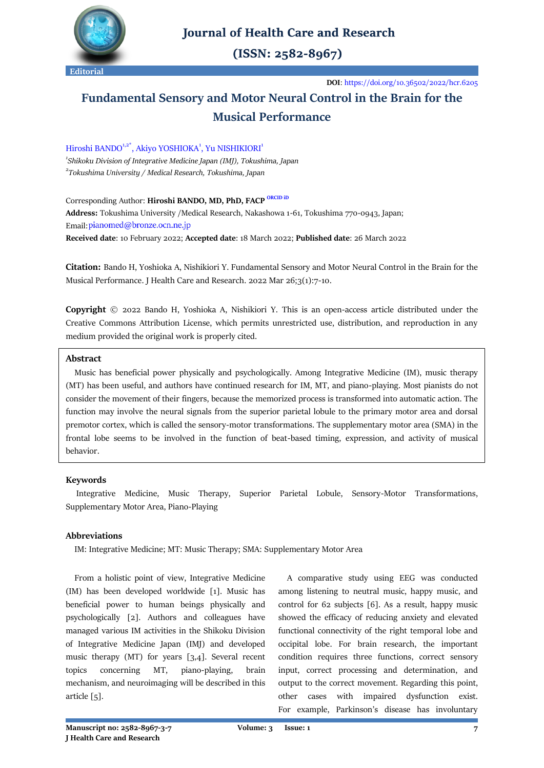

# **Journal of Health Care and Research**

 $(ISSN: 2582-8967)$ 

**DOI**:<https://doi.org/10.36502/2022/hcr.6205>

# **Fundamental Sensory and Motor Neural Control in the Brain for the Musical Performance**

Hiroshi BANDO<sup>1,2\*</sup>, Akiyo YOSHIOKA<sup>1</sup>, Yu NISHIKIORI<sup>1</sup> *1 Shikoku Division of Integrative Medicine Japan (IMJ), Tokushima, Japan 2 [Tokushima University](https://www.tokushima-u.ac.jp/) / Medical Research, Tokushima, Japan*

Corresponding Author: Hiroshi BANDO, MD, PhD, FACP [ORCID iD](https://orcid.org/0000-0002-6304-0224) **Address:** Tokushima University /Medical Research, Nakashowa 1-61, Tokushima 770-0943, Japan; Email: pianomed@bronze.ocn.ne.jp **Received date**: 10 February 2022; **Accepted date**: 18 March 2022; **Published date**: 26 March 2022

**Citation:** Bando H, Yoshioka A, Nishikiori Y. Fundamental Sensory and Motor Neural Control in the Brain for the Musical Performance. J Health Care and Research. 2022 Mar 26;3(1):7-10.

**Copyright** © 2022 Bando H, Yoshioka A, Nishikiori Y. This is an open-access article distributed under the Creative Commons Attribution License, which permits unrestricted use, distribution, and reproduction in any medium provided the original work is properly cited.

# **Abstract**

 Music has beneficial power physically and psychologically. Among Integrative Medicine (IM), music therapy (MT) has been useful, and authors have continued research for IM, MT, and piano-playing. Most pianists do not consider the movement of their fingers, because the memorized process is transformed into automatic action. The function may involve the neural signals from the superior parietal lobule to the primary motor area and dorsal premotor cortex, which is called the sensory-motor transformations. The supplementary motor area (SMA) in the frontal lobe seems to be involved in the function of beat-based timing, expression, and activity of musical behavior.

# **Keywords**

 Integrative Medicine, Music Therapy, Superior Parietal Lobule, Sensory-Motor Transformations, Supplementary Motor Area, Piano-Playing

## **Abbreviations**

IM: Integrative Medicine; MT: Music Therapy; SMA: Supplementary Motor Area

 From a holistic point of view, Integrative Medicine (IM) has been developed worldwide [1]. Music has beneficial power to human beings physically and psychologically [2]. Authors and colleagues have managed various IM activities in the Shikoku Division of Integrative Medicine Japan (IMJ) and developed music therapy (MT) for years [3,4]. Several recent topics concerning MT, piano-playing, brain mechanism, and neuroimaging will be described in this article [5].

 A comparative study using EEG was conducted among listening to neutral music, happy music, and control for 62 subjects [6]. As a result, happy music showed the efficacy of reducing anxiety and elevated functional connectivity of the right temporal lobe and occipital lobe. For brain research, the important condition requires three functions, correct sensory input, correct processing and determination, and output to the correct movement. Regarding this point, other cases with impaired dysfunction exist. For example, Parkinson's disease has involuntary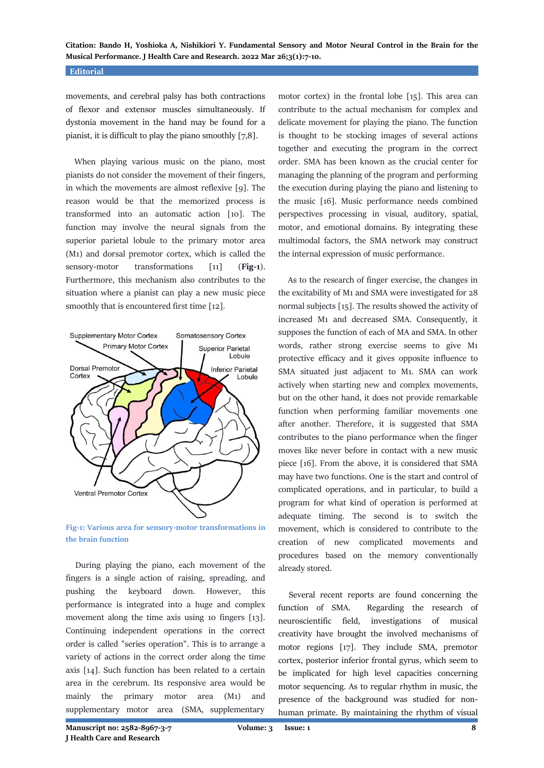**Citation: Bando H, Yoshioka A, Nishikiori Y. Fundamental Sensory and Motor Neural Control in the Brain for the Musical Performance. J Health Care and Research. 2022 Mar 26;3(1):7-10.**

#### **Editorial**

movements, and cerebral palsy has both contractions of flexor and extensor muscles simultaneously. If dystonia movement in the hand may be found for a pianist, it is difficult to play the piano smoothly [7,8].

 When playing various music on the piano, most pianists do not consider the movement of their fingers, in which the movements are almost reflexive [9]. The reason would be that the memorized process is transformed into an automatic action [10]. The function may involve the neural signals from the superior parietal lobule to the primary motor area (M1) and dorsal premotor cortex, which is called the sensory-motor transformations [11] (**Fig-1**). Furthermore, this mechanism also contributes to the situation where a pianist can play a new music piece smoothly that is encountered first time [12].



**Fig-1: Various area for sensory-motor transformations in the brain function**

 During playing the piano, each movement of the fingers is a single action of raising, spreading, and pushing the keyboard down. However, this performance is integrated into a huge and complex movement along the time axis using 10 fingers [13]. Continuing independent operations in the correct order is called "series operation". This is to arrange a variety of actions in the correct order along the time axis [14]. Such function has been related to a certain area in the cerebrum. Its responsive area would be mainly the primary motor area (M1) and supplementary motor area (SMA, supplementary

motor cortex) in the frontal lobe [15]. This area can contribute to the actual mechanism for complex and delicate movement for playing the piano. The function is thought to be stocking images of several actions together and executing the program in the correct order. SMA has been known as the crucial center for managing the planning of the program and performing the execution during playing the piano and listening to the music [16]. Music performance needs combined perspectives processing in visual, auditory, spatial, motor, and emotional domains. By integrating these multimodal factors, the SMA network may construct the internal expression of music performance.

 As to the research of finger exercise, the changes in the excitability of M1 and SMA were investigated for 28 normal subjects [15]. The results showed the activity of increased M1 and decreased SMA. Consequently, it supposes the function of each of MA and SMA. In other words, rather strong exercise seems to give M1 protective efficacy and it gives opposite influence to SMA situated just adjacent to M1. SMA can work actively when starting new and complex movements, but on the other hand, it does not provide remarkable function when performing familiar movements one after another. Therefore, it is suggested that SMA contributes to the piano performance when the finger moves like never before in contact with a new music piece [16]. From the above, it is considered that SMA may have two functions. One is the start and control of complicated operations, and in particular, to build a program for what kind of operation is performed at adequate timing. The second is to switch the movement, which is considered to contribute to the creation of new complicated movements and procedures based on the memory conventionally already stored.

 Several recent reports are found concerning the function of SMA. Regarding the research of neuroscientific field, investigations of musical creativity have brought the involved mechanisms of motor regions [17]. They include SMA, premotor cortex, posterior inferior frontal gyrus, which seem to be implicated for high level capacities concerning motor sequencing. As to regular rhythm in music, the presence of the background was studied for nonhuman primate. By maintaining the rhythm of visual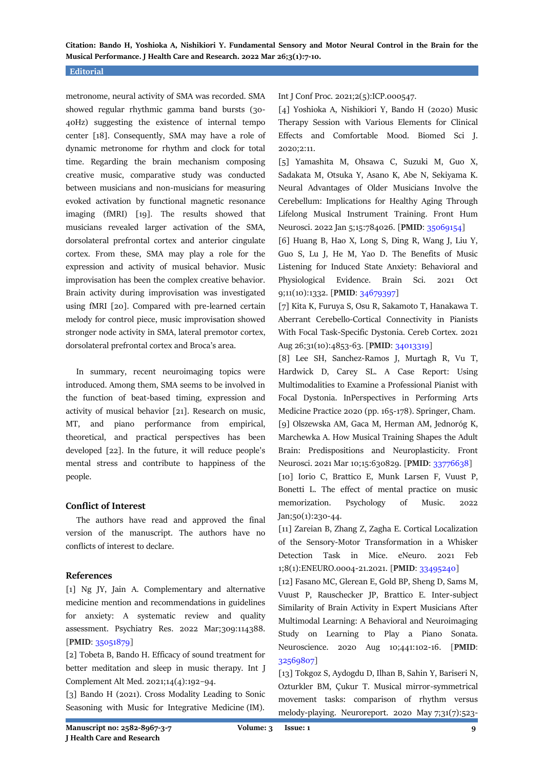**Citation: Bando H, Yoshioka A, Nishikiori Y. Fundamental Sensory and Motor Neural Control in the Brain for the Musical Performance. J Health Care and Research. 2022 Mar 26;3(1):7-10.**

#### **Editorial**

metronome, neural activity of SMA was recorded. SMA showed regular rhythmic gamma band bursts (30- 40Hz) suggesting the existence of internal tempo center [18]. Consequently, SMA may have a role of dynamic metronome for rhythm and clock for total time. Regarding the brain mechanism composing creative music, comparative study was conducted between musicians and non-musicians for measuring evoked activation by functional magnetic resonance imaging (fMRI) [19]. The results showed that musicians revealed larger activation of the SMA, dorsolateral prefrontal cortex and anterior cingulate cortex. From these, SMA may play a role for the expression and activity of musical behavior. Music improvisation has been the complex creative behavior. Brain activity during improvisation was investigated using fMRI [20]. Compared with pre-learned certain melody for control piece, music improvisation showed stronger node activity in SMA, lateral premotor cortex, dorsolateral prefrontal cortex and Broca's area.

 In summary, recent neuroimaging topics were introduced. Among them, SMA seems to be involved in the function of beat-based timing, expression and activity of musical behavior [21]. Research on music, MT, and piano performance from empirical, theoretical, and practical perspectives has been developed [22]. In the future, it will reduce people's mental stress and contribute to happiness of the people.

#### **Conflict of Interest**

 The authors have read and approved the final version of the manuscript. The authors have no conflicts of interest to declare.

#### **References**

[1] Ng JY, Jain A. Complementary and alternative medicine mention and recommendations in guidelines for anxiety: A systematic review and quality assessment. Psychiatry Res. 2022 Mar;309:114388. [**PMID**[: 35051879\]](https://pubmed.ncbi.nlm.nih.gov/35051879/)

[2] Tobeta B, Bando H. Efficacy of sound treatment for better meditation and sleep in music therapy. Int J Complement Alt Med. 2021;14(4):192–94.

[3] Bando H (2021). Cross Modality Leading to Sonic Seasoning with Music for Integrative Medicine (IM).

Int J Conf Proc. 2021;2(5):ICP.000547.

[4] Yoshioka A, Nishikiori Y, Bando H (2020) Music Therapy Session with Various Elements for Clinical Effects and Comfortable Mood. Biomed Sci J. 2020;2:11.

[5] Yamashita M, Ohsawa C, Suzuki M, Guo X, Sadakata M, Otsuka Y, Asano K, Abe N, Sekiyama K. Neural Advantages of Older Musicians Involve the Cerebellum: Implications for Healthy Aging Through Lifelong Musical Instrument Training. Front Hum Neurosci. 2022 Jan 5;15:784026. [**PMID**[: 35069154\]](https://pubmed.ncbi.nlm.nih.gov/35069154/)

[6] Huang B, Hao X, Long S, Ding R, Wang J, Liu Y, Guo S, Lu J, He M, Yao D. The Benefits of Music Listening for Induced State Anxiety: Behavioral and Physiological Evidence. Brain Sci. 2021 Oct 9;11(10):1332. [**PMID**: [34679397\]](https://pubmed.ncbi.nlm.nih.gov/34679397/)

[7] Kita K, Furuya S, Osu R, Sakamoto T, Hanakawa T. Aberrant Cerebello-Cortical Connectivity in Pianists With Focal Task-Specific Dystonia. Cereb Cortex. 2021 Aug 26;31(10):4853-63. [**PMID**[: 34013319\]](https://pubmed.ncbi.nlm.nih.gov/34013319/)

[8] Lee SH, Sanchez-Ramos J, Murtagh R, Vu T, Hardwick D, Carey SL. A Case Report: Using Multimodalities to Examine a Professional Pianist with Focal Dystonia. InPerspectives in Performing Arts Medicine Practice 2020 (pp. 165-178). Springer, Cham. [9] Olszewska AM, Gaca M, Herman AM, Jednoróg K, Marchewka A. How Musical Training Shapes the Adult Brain: Predispositions and Neuroplasticity. Front Neurosci. 2021 Mar 10;15:630829. [**PMID**: [33776638\]](https://pubmed.ncbi.nlm.nih.gov/33776638/)

[10] Iorio C, Brattico E, Munk Larsen F, Vuust P, Bonetti L. The effect of mental practice on music memorization. Psychology of Music. 2022 Jan;50(1):230-44.

[11] Zareian B, Zhang Z, Zagha E. Cortical Localization of the Sensory-Motor Transformation in a Whisker Detection Task in Mice. eNeuro. 2021 Feb 1;8(1):ENEURO.0004-21.2021. [**PMID**: [33495240\]](https://pubmed.ncbi.nlm.nih.gov/33495240/)

[12] Fasano MC, Glerean E, Gold BP, Sheng D, Sams M, Vuust P, Rauschecker JP, Brattico E. Inter-subject Similarity of Brain Activity in Expert Musicians After Multimodal Learning: A Behavioral and Neuroimaging Study on Learning to Play a Piano Sonata. Neuroscience. 2020 Aug 10;441:102-16. [**PMID**: [32569807\]](https://pubmed.ncbi.nlm.nih.gov/32569807/)

[13] Tokgoz S, Aydogdu D, Ilhan B, Sahin Y, Bariseri N, Ozturkler BM, Çukur T. Musical mirror-symmetrical movement tasks: comparison of rhythm versus melody-playing. Neuroreport. 2020 May 7;31(7):523